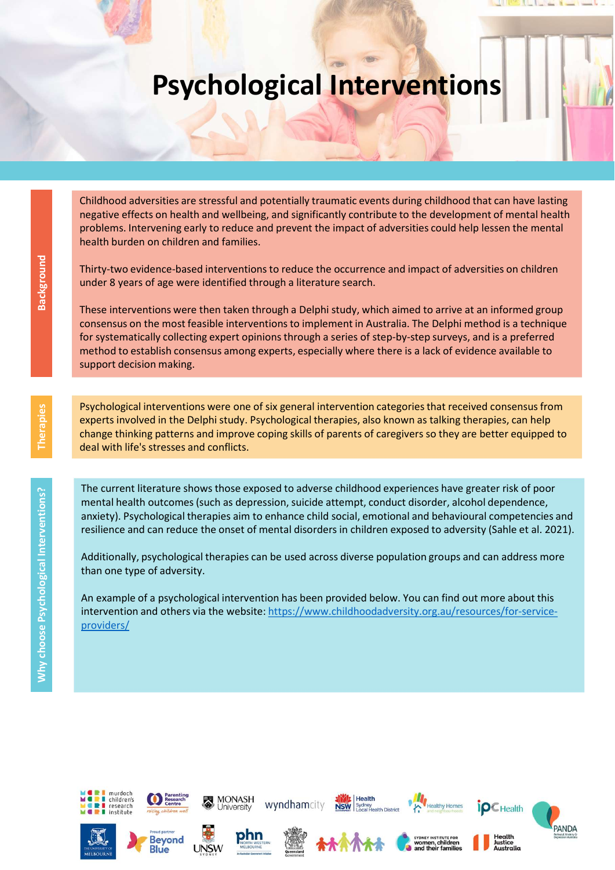## Psychological Interventions

Childhood adversities are stressful and potentially traumatic events during childhood that can have lasting negative effects on health and wellbeing, and significantly contribute to the development of mental health problems. Intervening early to reduce and prevent the impact of adversities could help lessen the mental health burden on children and families.

Thirty-two evidence-based interventions to reduce the occurrence and impact of adversities on children under 8 years of age were identified through a literature search.

These interventions were then taken through a Delphi study, which aimed to arrive at an informed group consensus on the most feasible interventions to implement in Australia. The Delphi method is a technique for systematically collecting expert opinions through a series of step-by-step surveys, and is a preferred method to establish consensus among experts, especially where there is a lack of evidence available to support decision making. Thirty-two evidence-based intervention<br>
under 8 years of age were identified the transmit<br>
one and the method to estable interventions were then taken to<br>
consensus on the most feasible interventions<br>
surport decision maki

Psychological interventions were one of six general intervention categories that received consensus from experts involved in the Delphi study. Psychological therapies, also known as talking therapies, can help change thinking patterns and improve coping skills of parents of caregivers so they are better equipped to deal with life's stresses and conflicts.

The current literature shows those exposed to adverse childhood experiences have greater risk of poor mental health outcomes (such as depression, suicide attempt, conduct disorder, alcohol dependence, anxiety). Psychological therapies aim to enhance child social, emotional and behavioural competencies and resilience and can reduce the onset of mental disorders in children exposed to adversity (Sahle et al. 2021).

Additionally, psychological therapies can be used across diverse population groups and can address more than one type of adversity.

An example of a psychological intervention has been provided below. You can find out more about this intervention and others via the website: https://www.childhoodadversity.org.au/resources/for-service-





**Blue** 





**MONASH** 



wyndhamcity



Health



althy Home